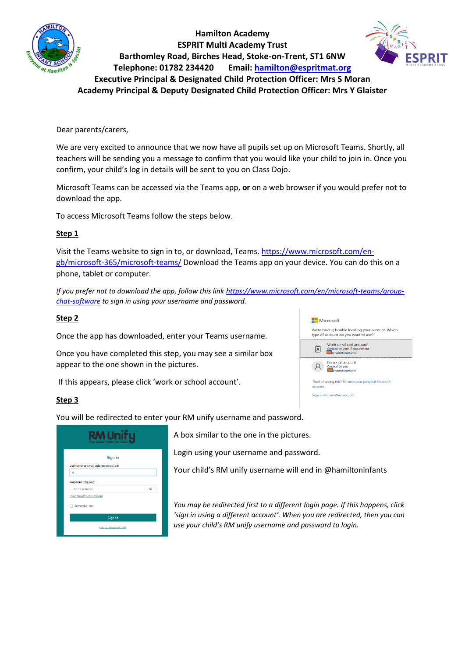

**Hamilton Academy ESPRIT Multi Academy Trust Barthomley Road, Birches Head, Stoke-on-Trent, ST1 6NW Telephone: 01782 234420 Email: [hamilton@espritmat.org](mailto:hamilton@espritmat.org) Executive Principal & Designated Child Protection Officer: Mrs S Moran Academy Principal & Deputy Designated Child Protection Officer: Mrs Y Glaister**



## Dear parents/carers,

We are very excited to announce that we now have all pupils set up on Microsoft Teams. Shortly, all teachers will be sending you a message to confirm that you would like your child to join in. Once you confirm, your child's log in details will be sent to you on Class Dojo.

Microsoft Teams can be accessed via the Teams app, **or** on a web browser if you would prefer not to download the app.

To access Microsoft Teams follow the steps below.

#### **Step 1**

Visit the Teams website to sign in to, or download, Teams[. https://www.microsoft.com/en](https://www.microsoft.com/en-gb/microsoft-365/microsoft-teams/)[gb/microsoft-365/microsoft-teams/](https://www.microsoft.com/en-gb/microsoft-365/microsoft-teams/) Download the Teams app on your device. You can do this on a phone, tablet or computer.

*If you prefer not to download the app, follow this link [https://www.microsoft.com/en/microsoft-teams/group](https://www.microsoft.com/en/microsoft-teams/group-chat-software)[chat-software](https://www.microsoft.com/en/microsoft-teams/group-chat-software) to sign in using your username and password.* 

#### **Step 2**

Once the app has downloaded, enter your Teams username.

Once you have completed this step, you may see a similar box appear to the one shown in the pictures.

If this appears, please click 'work or school account'.

#### **Step 3**

You will be redirected to enter your RM unify username and password.

| Sign in                                     |   |
|---------------------------------------------|---|
| <b>Username or Email Address (required)</b> |   |
| $\omega$                                    |   |
| Password (required)                         |   |
| Enter the password                          | ത |
| I have forgotten my password                |   |
| Remember me                                 |   |
| Sign in                                     |   |

A box similar to the one in the pictures.

Login using your username and password.

Your child's RM unify username will end in @hamiltoninfants

*You may be redirected first to a different login page. If this happens, click 'sign in using a different account'. When you are redirected, then you can use your child's RM unify username and password to login.*

| <b>Nicrosoft</b>                                                                         |
|------------------------------------------------------------------------------------------|
| We're having trouble locating your account. Which<br>type of account do you want to use? |
| Work or school account<br>Created by your IT department<br><b>@hamiltoninfants</b>       |
| Personal account<br>Created by you<br><b>Phamiltoninfants</b>                            |
| Tired of seeing this? Rename your personal Microsoft<br>account.                         |
| Where the codule and with an amount of                                                   |